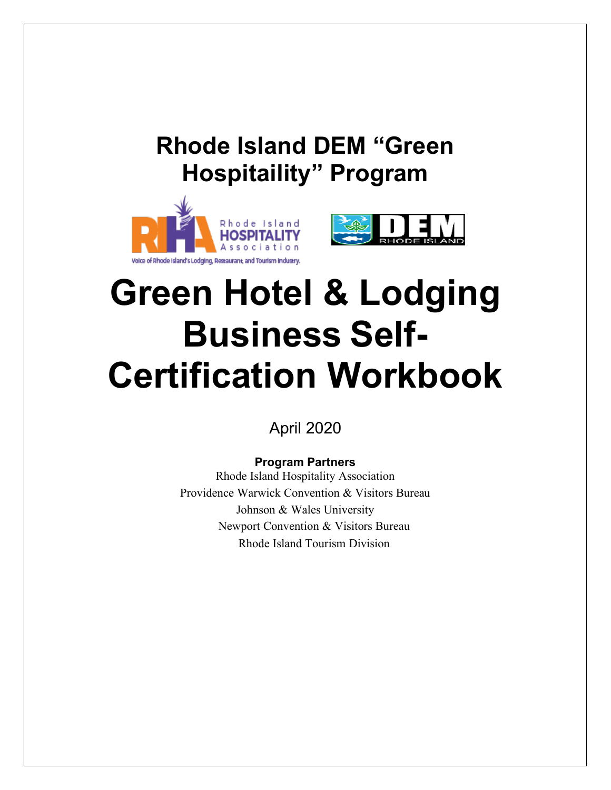



# **Green Hotel & Lodging Business Self-Certification Workbook**

April 2020

# **Program Partners**

Rhode Island Hospitality Association Providence Warwick Convention & Visitors Bureau Johnson & Wales University Newport Convention & Visitors Bureau Rhode Island Tourism Division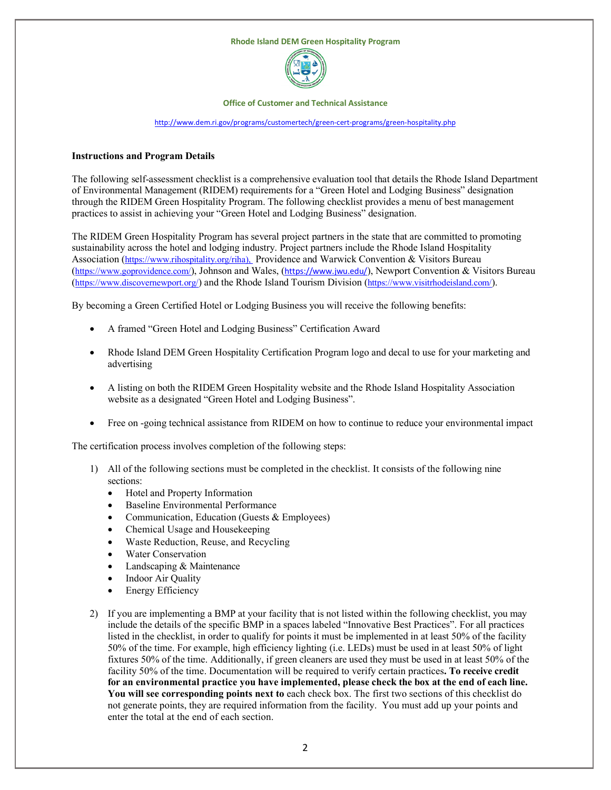

**Office of Customer and Technical Assistance**

<http://www.dem.ri.gov/programs/customertech/green-cert-programs/green-hospitality.php>

#### **Instructions and Program Details**

The following self-assessment checklist is a comprehensive evaluation tool that details the Rhode Island Department of Environmental Management (RIDEM) requirements for a "Green Hotel and Lodging Business" designation through the RIDEM Green Hospitality Program. The following checklist provides a menu of best management practices to assist in achieving your "Green Hotel and Lodging Business" designation.

The RIDEM Green Hospitality Program has several project partners in the state that are committed to promoting sustainability across the hotel and lodging industry. Project partners include the Rhode Island Hospitality Association [\(https://www.rihospitality.org/riha\),](https://www.rihospitality.org/riha),) Providence and Warwick Convention & Visitors Bureau [\(https://www.goprovidence.com/\)](https://www.goprovidence.com/), Johnson and Wales, (<https://www.jwu.edu/>), Newport Convention & Visitors Bureau [\(https://www.discovernewport.org/\)](https://www.discovernewport.org/) and the Rhode Island Tourism Division [\(https://www.visitrhodeisland.com/\)](https://www.visitrhodeisland.com/).

By becoming a Green Certified Hotel or Lodging Business you will receive the following benefits:

- A framed "Green Hotel and Lodging Business" Certification Award
- Rhode Island DEM Green Hospitality Certification Program logo and decal to use for your marketing and advertising
- A listing on both the RIDEM Green Hospitality website and the Rhode Island Hospitality Association website as a designated "Green Hotel and Lodging Business".
- Free on -going technical assistance from RIDEM on how to continue to reduce your environmental impact

The certification process involves completion of the following steps:

- 1) All of the following sections must be completed in the checklist. It consists of the following nine sections:
	- Hotel and Property Information
	- Baseline Environmental Performance
	- Communication, Education (Guests & Employees)
	- Chemical Usage and Housekeeping
	- Waste Reduction, Reuse, and Recycling
	- Water Conservation
	- Landscaping & Maintenance
	- Indoor Air Quality
	- Energy Efficiency
- 2) If you are implementing a BMP at your facility that is not listed within the following checklist, you may include the details of the specific BMP in a spaces labeled "Innovative Best Practices". For all practices listed in the checklist, in order to qualify for points it must be implemented in at least 50% of the facility 50% of the time. For example, high efficiency lighting (i.e. LEDs) must be used in at least 50% of light fixtures 50% of the time. Additionally, if green cleaners are used they must be used in at least 50% of the facility 50% of the time. Documentation will be required to verify certain practices**. To receive credit for an environmental practice you have implemented, please check the box at the end of each line. You will see corresponding points next to** each check box. The first two sections of this checklist do not generate points, they are required information from the facility. You must add up your points and enter the total at the end of each section.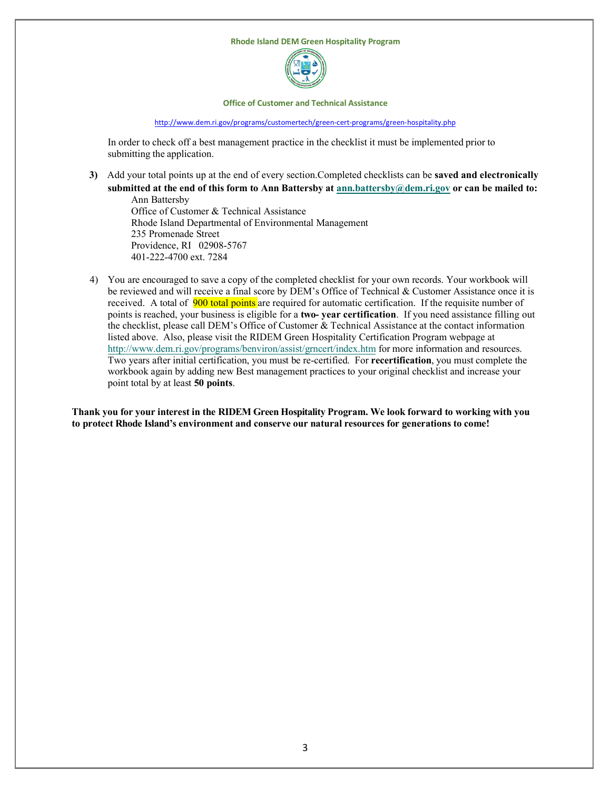

**Office of Customer and Technical Assistance**

<http://www.dem.ri.gov/programs/customertech/green-cert-programs/green-hospitality.php>

In order to check off a best management practice in the checklist it must be implemented prior to submitting the application.

**3)** Add your total points up at the end of every section.Completed checklists can be **saved and electronically submitted at the end of this form to Ann Battersby at [ann.battersby@dem.ri.gov](mailto:ann.battersby@dem.ri.gov) or can be mailed to:**

Ann Battersby Office of Customer & Technical Assistance Rhode Island Departmental of Environmental Management 235 Promenade Street Providence, RI 02908-5767 401-222-4700 ext. 7284

4) You are encouraged to save a copy of the completed checklist for your own records. Your workbook will be reviewed and will receive a final score by DEM's Office of Technical & Customer Assistance once it is received. A total of 900 total points are required for automatic certification. If the requisite number of points is reached, your business is eligible for a **two- year certification**. If you need assistance filling out the checklist, please call DEM's Office of Customer & Technical Assistance at the contact information listed above. Also, please visit the RIDEM Green Hospitality Certification Program webpage at <http://www.dem.ri.gov/programs/benviron/assist/grncert/index.htm> for more information and resources. Two years after initial certification, you must be re-certified. For **recertification**, you must complete the workbook again by adding new Best management practices to your original checklist and increase your point total by at least **50 points**.

**Thank you for your interest in the RIDEM Green Hospitality Program. We look forward to working with you to protect Rhode Island's environment and conserve our natural resources for generations to come!**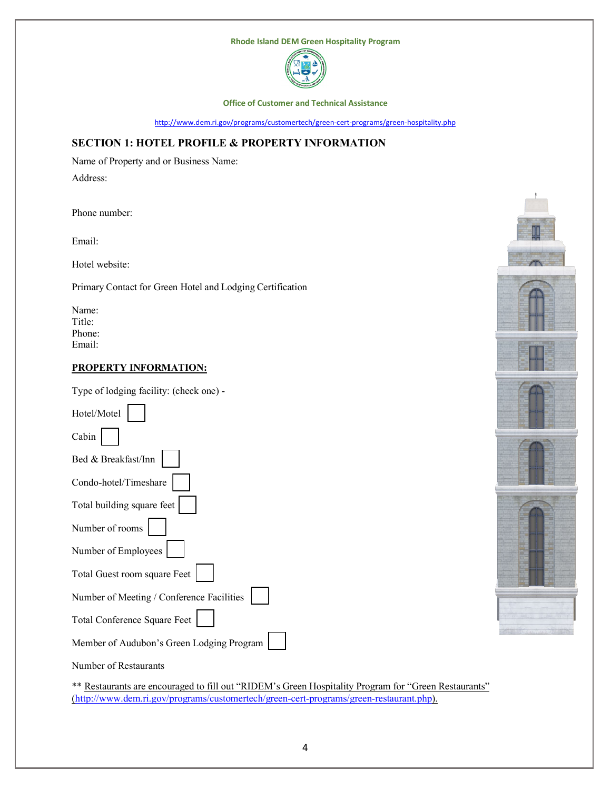

**Office of Customer and Technical Assistance**

<http://www.dem.ri.gov/programs/customertech/green-cert-programs/green-hospitality.php>

# **SECTION 1: HOTEL PROFILE & PROPERTY INFORMATION**

Name of Property and or Business Name:

Address:

Phone number:

Email:

Hotel website:

Primary Contact for Green Hotel and Lodging Certification

Name: Title: Phone: Email:

# **PROPERTY INFORMATION:**

Type of lodging facility: (check one) -

| Hotel/Motel                               |  |
|-------------------------------------------|--|
| Cabin                                     |  |
| Bed & Breakfast/Inn                       |  |
| Condo-hotel/Timeshare                     |  |
| Total building square feet                |  |
| Number of rooms                           |  |
| Number of Employees                       |  |
| Total Guest room square Feet              |  |
| Number of Meeting / Conference Facilities |  |
| Total Conference Square Feet              |  |
| Member of Audubon's Green Lodging Program |  |



Number of Restaurants

\*\* Restaurants are encouraged to fill out "RIDEM's Green Hospitality Program for "Green Restaurants" [\(http://www.dem.ri.gov/programs/customertech/green-cert-programs/green-restaurant.php\)](http://www.dem.ri.gov/programs/customertech/green-cert-programs/green-restaurant.php).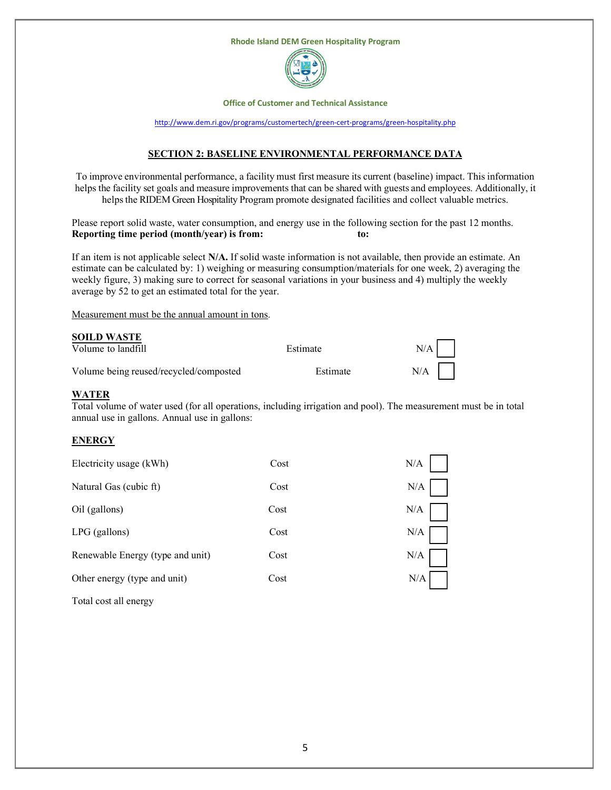

**Office of Customer and Technical Assistance**

<http://www.dem.ri.gov/programs/customertech/green-cert-programs/green-hospitality.php>

# **SECTION 2: BASELINE ENVIRONMENTAL PERFORMANCE DATA**

To improve environmental performance, a facility must first measure its current (baseline) impact. This information helps the facility set goals and measure improvements that can be shared with guests and employees. Additionally, it helps the RIDEM Green Hospitality Program promote designated facilities and collect valuable metrics.

Please report solid waste, water consumption, and energy use in the following section for the past 12 months. **Reporting time period (month/year) is from: to:** 

If an item is not applicable select **N/A.** If solid waste information is not available, then provide an estimate. An estimate can be calculated by: 1) weighing or measuring consumption/materials for one week, 2) averaging the weekly figure, 3) making sure to correct for seasonal variations in your business and 4) multiply the weekly average by 52 to get an estimated total for the year.

Measurement must be the annual amount in tons.

|      | <b>SOILD WASTE</b> |  |       |
|------|--------------------|--|-------|
| -- - |                    |  | 10111 |

| Volume to landfill                     | Estimate | N/A I |
|----------------------------------------|----------|-------|
| Volume being reused/recycled/composted | Estimate | N/A   |

# **WATER**

Total volume of water used (for all operations, including irrigation and pool). The measurement must be in total annual use in gallons. Annual use in gallons:

#### **ENERGY**

| Electricity usage (kWh)          | Cost | N/A |
|----------------------------------|------|-----|
| Natural Gas (cubic ft)           | Cost | N/A |
| Oil (gallons)                    | Cost | N/A |
| LPG (gallons)                    | Cost | N/A |
| Renewable Energy (type and unit) | Cost | N/A |
| Other energy (type and unit)     | Cost | N/A |
|                                  |      |     |

Total cost all energy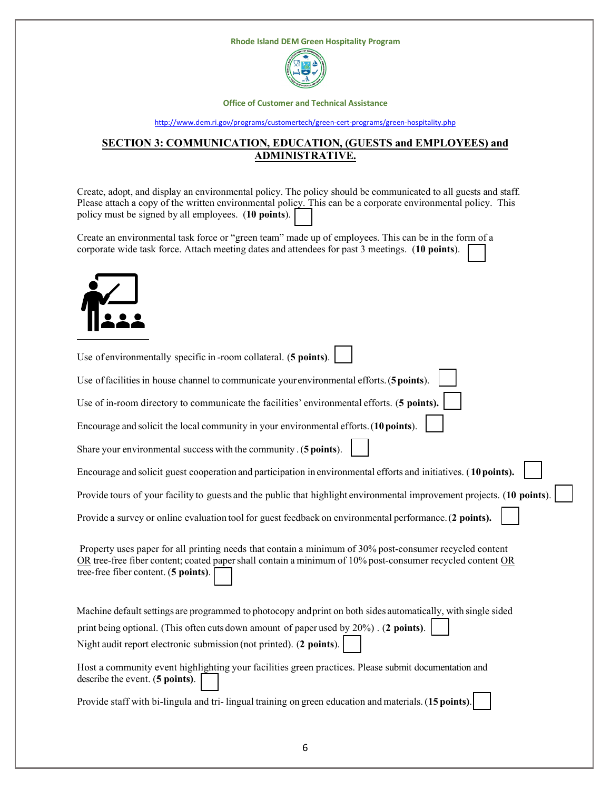

**Office of Customer and Technical Assistance**

#### <http://www.dem.ri.gov/programs/customertech/green-cert-programs/green-hospitality.php>

# **SECTION 3: COMMUNICATION, EDUCATION, (GUESTS and EMPLOYEES) and ADMINISTRATIVE.**

Create, adopt, and display an environmental policy. The policy should be communicated to all guests and staff. Please attach a copy of the written environmental policy. This can be a corporate environmental policy. This policy must be signed by all employees. (**10 points**).

Create an environmental task force or "green team" made up of employees. This can be in the form of a corporate wide task force. Attach meeting dates and attendees for past 3 meetings. (**10 points**).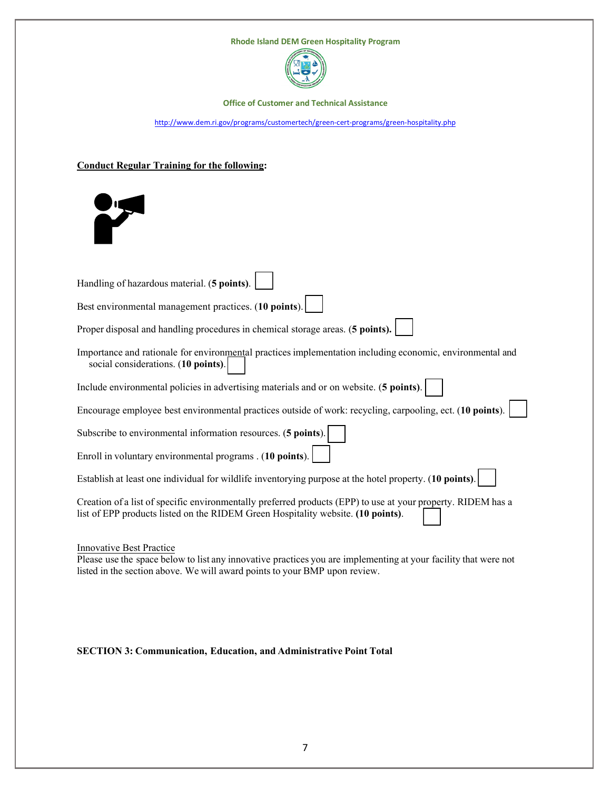

**Office of Customer and Technical Assistance**

<http://www.dem.ri.gov/programs/customertech/green-cert-programs/green-hospitality.php>

# **Conduct Regular Training for the following:**



| Handling of hazardous material. (5 points).                                                                                                                                                                                      |
|----------------------------------------------------------------------------------------------------------------------------------------------------------------------------------------------------------------------------------|
| Best environmental management practices. (10 points).                                                                                                                                                                            |
| Proper disposal and handling procedures in chemical storage areas. (5 points).                                                                                                                                                   |
| Importance and rationale for environmental practices implementation including economic, environmental and<br>social considerations. (10 points).                                                                                 |
| Include environmental policies in advertising materials and or on website. (5 points).                                                                                                                                           |
| Encourage employee best environmental practices outside of work: recycling, carpooling, ect. (10 points).                                                                                                                        |
| Subscribe to environmental information resources. (5 points).                                                                                                                                                                    |
| Enroll in voluntary environmental programs . (10 points).                                                                                                                                                                        |
| Establish at least one individual for wildlife inventorying purpose at the hotel property. (10 points).                                                                                                                          |
| Creation of a list of specific environmentally preferred products (EPP) to use at your property. RIDEM has a<br>list of EPP products listed on the RIDEM Green Hospitality website. (10 points).                                 |
| <b>Innovative Best Practice</b><br>Please use the space below to list any innovative practices you are implementing at your facility that were not<br>listed in the section above. We will award points to your BMP upon review. |

**SECTION 3: Communication, Education, and Administrative Point Total**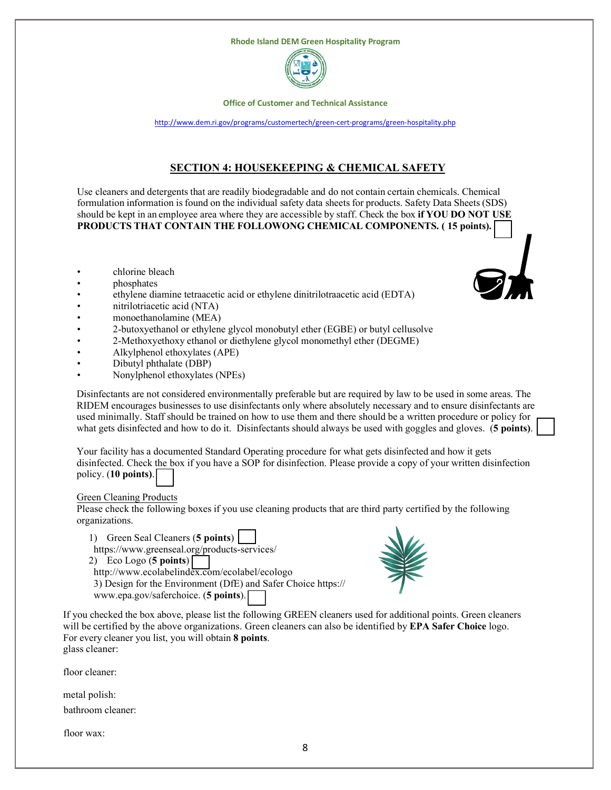

**Office of Customer and Technical Assistance**

<http://www.dem.ri.gov/programs/customertech/green-cert-programs/green-hospitality.php>

# **SECTION 4: HOUSEKEEPING & CHEMICAL SAFETY**

Use cleaners and detergents that are readily biodegradable and do not contain certain chemicals. Chemical formulation information is found on the individual safety data sheets for products. Safety Data Sheets (SDS) should be kept in an employee area where they are accessible by staff. Check the box **if YOU DO NOT USE PRODUCTS THAT CONTAIN THE FOLLOWONG CHEMICAL COMPONENTS. ( 15 points).** 

- chlorine bleach
- phosphates
- ethylene diamine tetraacetic acid or ethylene dinitrilotraacetic acid (EDTA)
- nitrilotriacetic acid (NTA)
- monoethanolamine (MEA)
- 2-butoxyethanol or ethylene glycol monobutyl ether (EGBE) or butyl cellusolve
- 2-Methoxyethoxy ethanol or diethylene glycol monomethyl ether (DEGME)
- Alkylphenol ethoxylates (APE)
- Dibutyl phthalate (DBP)
- Nonylphenol ethoxylates (NPEs)

Disinfectants are not considered environmentally preferable but are required by law to be used in some areas. The RIDEM encourages businesses to use disinfectants only where absolutely necessary and to ensure disinfectants are used minimally. Staff should be trained on how to use them and there should be a written procedure or policy for what gets disinfected and how to do it. Disinfectants should always be used with goggles and gloves. (**5 points)**.

Your facility has a documented Standard Operating procedure for what gets disinfected and how it gets disinfected. Check the box if you have a SOP for disinfection. Please provide a copy of your written disinfection policy. (**10 points)**.

#### Green Cleaning Products

Please check the following boxes if you use cleaning products that are third party certified by the following organizations.

- 1) Green Seal Cleaners (**5 points**)
- https://www.greenseal.org/products-services/ 2) Eco Logo (**5 points**)
- http://www.ecolabelindex.com/ecolabel/ecologo

3) Design for the Environment (DfE) and Safer Choice https:// www.epa.gov/saferchoice. (**5 points**).



If you checked the box above, please list the following GREEN cleaners used for additional points. Green cleaners will be certified by the above organizations. Green cleaners can also be identified by **EPA Safer Choice** logo. For every cleaner you list, you will obtain **8 points**. glass cleaner:

floor cleaner:

metal polish:

bathroom cleaner:

floor wax: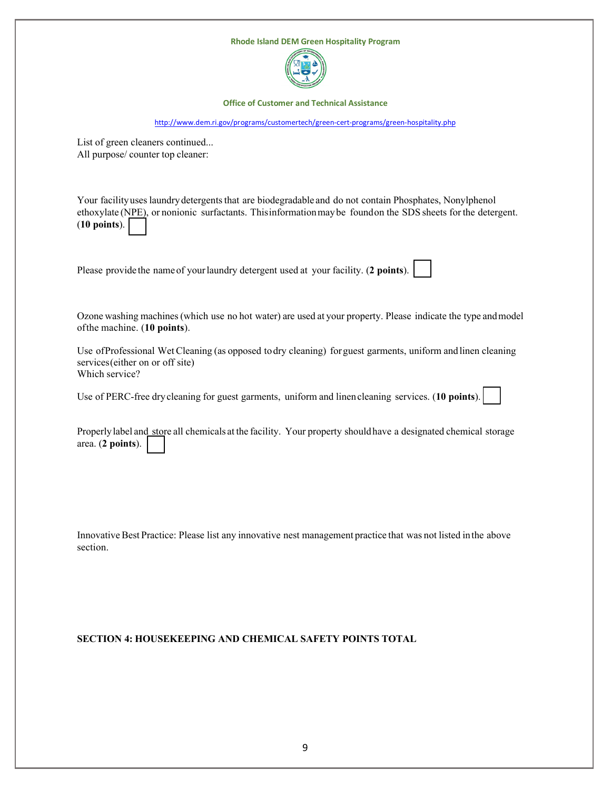

# **SECTION 4: HOUSEKEEPING AND CHEMICAL SAFETY POINTS TOTAL**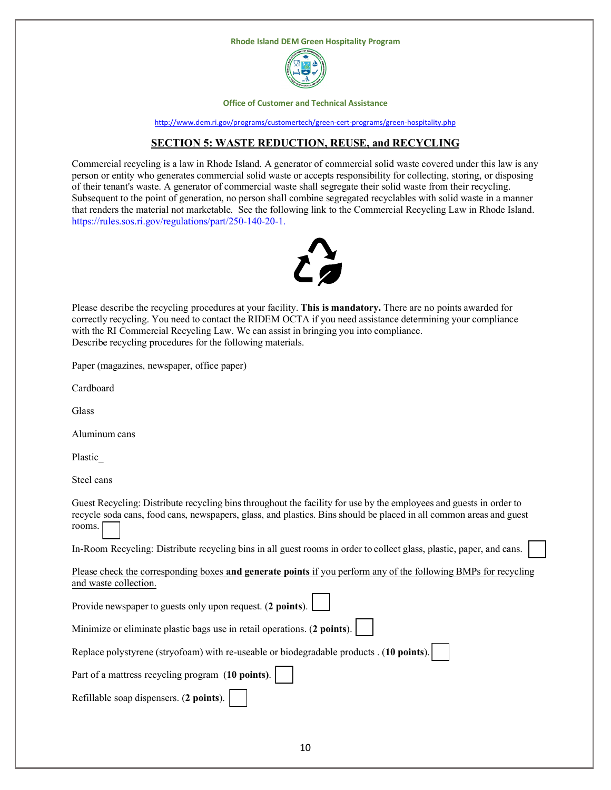



**Office of Customer and Technical Assistance**

<http://www.dem.ri.gov/programs/customertech/green-cert-programs/green-hospitality.php>

# **SECTION 5: WASTE REDUCTION, REUSE, and RECYCLING**

Commercial recycling is a law in Rhode Island. A generator of commercial solid waste covered under this law is any person or entity who generates commercial solid waste or accepts responsibility for collecting, storing, or disposing of their tenant's waste. A generator of commercial waste shall segregate their solid waste from their recycling. Subsequent to the point of generation, no person shall combine segregated recyclables with solid waste in a manner that renders the material not marketable. See the following link to the Commercial Recycling Law in Rhode Island. [https://rules.sos.ri.gov/regulations/part/250-140-20-1.](https://rules.sos.ri.gov/regulations/part/250-140-20-1)



Please describe the recycling procedures at your facility. **This is mandatory.** There are no points awarded for correctly recycling. You need to contact the RIDEM OCTA if you need assistance determining your compliance with the RI Commercial Recycling Law. We can assist in bringing you into compliance. Describe recycling procedures for the following materials.

Paper (magazines, newspaper, office paper)

Cardboard

Glass

Aluminum cans

Plastic\_

Steel cans

Guest Recycling: Distribute recycling bins throughout the facility for use by the employees and guests in order to recycle soda cans, food cans, newspapers, glass, and plastics. Bins should be placed in all common areas and guest rooms.

In-Room Recycling: Distribute recycling bins in all guest rooms in order to collect glass, plastic, paper, and cans.

| Please check the corresponding boxes and generate points if you perform any of the following BMPs for recycling |  |  |  |  |  |
|-----------------------------------------------------------------------------------------------------------------|--|--|--|--|--|
| and waste collection.                                                                                           |  |  |  |  |  |

| Provide newspaper to guests only upon request. (2 points).                               |
|------------------------------------------------------------------------------------------|
| Minimize or eliminate plastic bags use in retail operations. (2 points).                 |
| Replace polystyrene (stryofoam) with re-useable or biodegradable products . (10 points). |
| Part of a mattress recycling program (10 points).                                        |
| Refillable soap dispensers. (2 points).                                                  |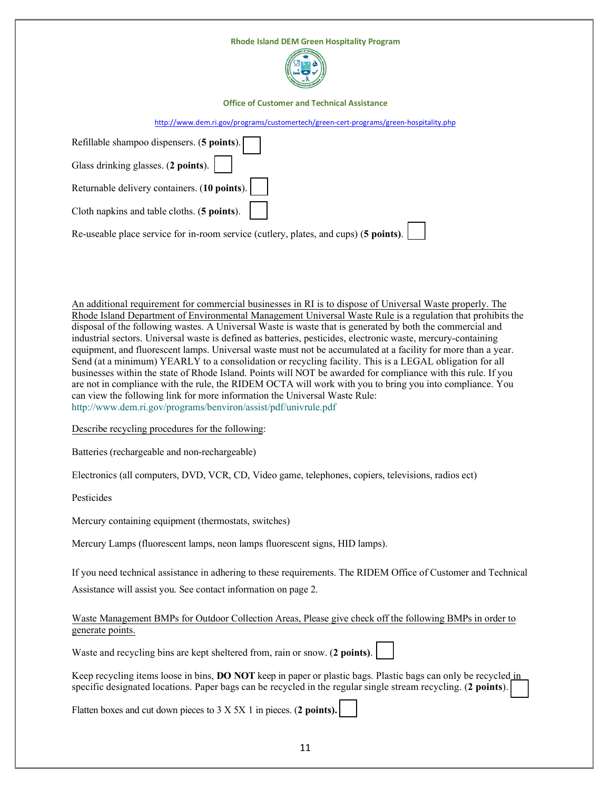| <b>Rhode Island DEM Green Hospitality Program</b>                                     |  |
|---------------------------------------------------------------------------------------|--|
| <b>Office of Customer and Technical Assistance</b>                                    |  |
| http://www.dem.ri.gov/programs/customertech/green-cert-programs/green-hospitality.php |  |
|                                                                                       |  |

| Refillable shampoo dispensers. (5 points).                                           |
|--------------------------------------------------------------------------------------|
| Glass drinking glasses. (2 points).                                                  |
| Returnable delivery containers. $(10 \text{ points})$ .                              |
| Cloth napkins and table cloths. $(5 \text{ points})$ .                               |
| Re-useable place service for in-room service (cutlery, plates, and cups) (5 points). |

An additional requirement for commercial businesses in RI is to dispose of Universal Waste properly. The Rhode Island Department of Environmental Management Universal Waste Rule is a regulation that prohibits the disposal of the following wastes. A Universal Waste is waste that is generated by both the commercial and industrial sectors. Universal waste is defined as batteries, pesticides, electronic waste, mercury-containing equipment, and fluorescent lamps. Universal waste must not be accumulated at a facility for more than a year. Send (at a minimum) YEARLY to a consolidation or recycling facility. This is a LEGAL obligation for all businesses within the state of Rhode Island. Points will NOT be awarded for compliance with this rule. If you are not in compliance with the rule, the RIDEM OCTA will work with you to bring you into compliance. You can view the following link for more information the Universal Waste Rule: ht[tp://www.dem.ri.gov/programs/benviron/assist/pdf/univrule.pdf](http://www.dem.ri.gov/programs/benviron/assist/pdf/univrule.pdf)

Describe recycling procedures for the following:

Batteries (rechargeable and non-rechargeable)

Electronics (all computers, DVD, VCR, CD, Video game, telephones, copiers, televisions, radios ect)

Pesticides

Mercury containing equipment (thermostats, switches)

Mercury Lamps (fluorescent lamps, neon lamps fluorescent signs, HID lamps).

If you need technical assistance in adhering to these requirements. The RIDEM Office of Customer and Technical Assistance will assist you. See contact information on page 2.

# Waste Management BMPs for Outdoor Collection Areas, Please give check off the following BMPs in order to generate points.

Waste and recycling bins are kept sheltered from, rain or snow. (**2 points)**.

Keep recycling items loose in bins, **DO NOT** keep in paper or plastic bags. Plastic bags can only be recycled in specific designated locations. Paper bags can be recycled in the regular single stream recycling. (**2 points**).

Flatten boxes and cut down pieces to 3 X 5X 1 in pieces. (**2 points).**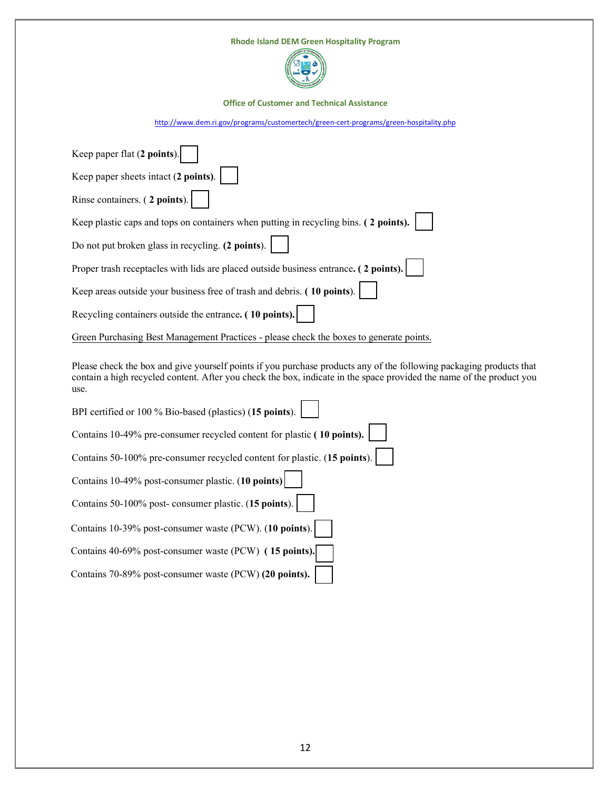| <b>Rhode Island DEM Green Hospitality Program</b>                                     |
|---------------------------------------------------------------------------------------|
| <b>Office of Customer and Technical Assistance</b>                                    |
| http://www.dem.ri.gov/programs/customertech/green-cert-programs/green-hospitality.php |
|                                                                                       |
| Keep paper flat (2 points).                                                           |
| Keep paper sheets intact (2 points).                                                  |
| Rinse containers. (2 points).                                                         |
| Keep plastic caps and tops on containers when putting in recycling bins. (2 points).  |
| Do not put broken glass in recycling. (2 points).                                     |
| Proper trash receptacles with lids are placed outside business entrance. (2 points).  |
| Keep areas outside your business free of trash and debris. (10 points).               |
| Recycling containers outside the entrance. (10 points).                               |

Green Purchasing Best Management Practices - please check the boxes to generate points.

Please check the box and give yourself points if you purchase products any of the following packaging products that contain a high recycled content. After you check the box, indicate in the space provided the name of the product you use.

| BPI certified or 100 % Bio-based (plastics) (15 points).                 |
|--------------------------------------------------------------------------|
| Contains 10-49% pre-consumer recycled content for plastic (10 points).   |
| Contains 50-100% pre-consumer recycled content for plastic. (15 points). |
| Contains 10-49% post-consumer plastic. (10 points)                       |
| Contains 50-100% post-consumer plastic. (15 points).                     |
| Contains 10-39% post-consumer waste (PCW). (10 points).                  |
| Contains 40-69% post-consumer waste (PCW) (15 points).                   |
| Contains 70-89% post-consumer waste (PCW) (20 points).                   |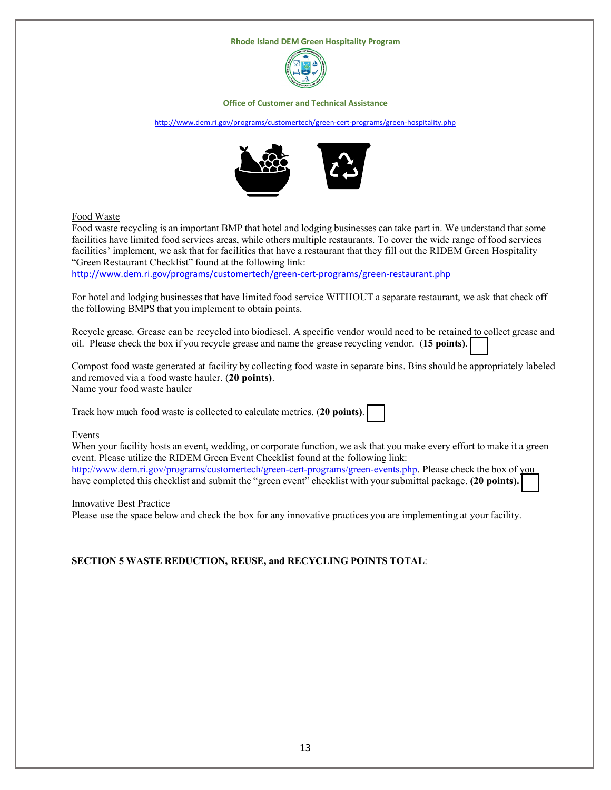

#### **Office of Customer and Technical Assistance**

#### <http://www.dem.ri.gov/programs/customertech/green-cert-programs/green-hospitality.php>



#### Food Waste

Food waste recycling is an important BMP that hotel and lodging businesses can take part in. We understand that some facilities have limited food services areas, while others multiple restaurants. To cover the wide range of food services facilities' implement, we ask that for facilities that have a restaurant that they fill out the RIDEM Green Hospitality "Green Restaurant Checklist" found at the following link:

<http://www.dem.ri.gov/programs/customertech/green-cert-programs/green-restaurant.php>

For hotel and lodging businesses that have limited food service WITHOUT a separate restaurant, we ask that check off the following BMPS that you implement to obtain points.

Recycle grease. Grease can be recycled into biodiesel. A specific vendor would need to be retained to collect grease and oil. Please check the box if you recycle grease and name the grease recycling vendor. (**15 points)**.

Compost food waste generated at facility by collecting food waste in separate bins. Bins should be appropriately labeled and removed via a food waste hauler. (**20 points)**. Name your food waste hauler

Track how much food waste is collected to calculate metrics. (**20 points)**.

#### Events

When your facility hosts an event, wedding, or corporate function, we ask that you make every effort to make it a green event. Please utilize the RIDEM Green Event Checklist found at the following link: <http://www.dem.ri.gov/programs/customertech/green-cert-programs/green-events.php>. Please check the box of you have completed this checklist and submit the "green event" checklist with yoursubmittal package. **(20 points).**

#### Innovative Best Practice

Please use the space below and check the box for any innovative practices you are implementing at your facility.

#### **SECTION 5 WASTE REDUCTION, REUSE, and RECYCLING POINTS TOTAL**: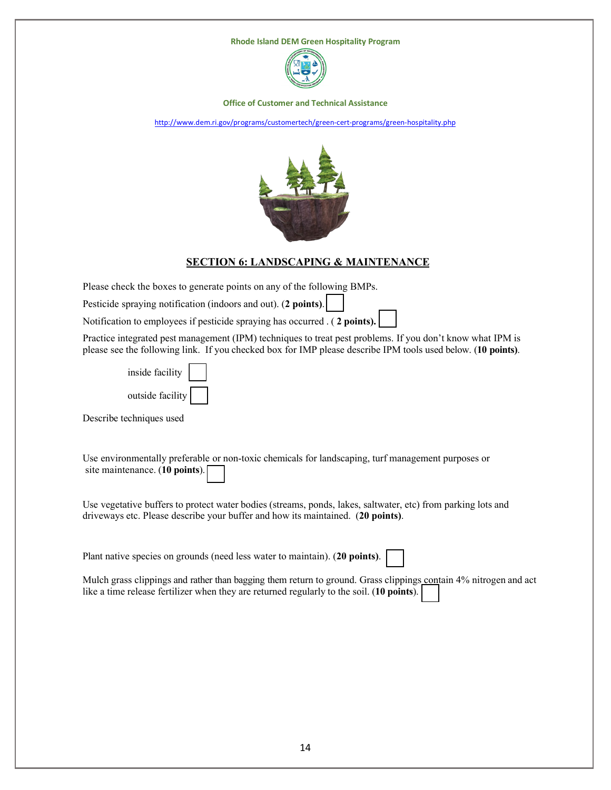

**Office of Customer and Technical Assistance**

<http://www.dem.ri.gov/programs/customertech/green-cert-programs/green-hospitality.php>



### **SECTION 6: LANDSCAPING & MAINTENANCE**

Please check the boxes to generate points on any of the following BMPs.

Pesticide spraying notification (indoors and out). (**2 points)**.

Notification to employees if pesticide spraying has occurred . ( **2 points).**

Practice integrated pest management (IPM) techniques to treat pest problems. If you don't know what IPM is please see the following link. If you checked box for IMP please describe IPM tools used below. (**10 points)**.

| inside facility  |  |
|------------------|--|
| outside facility |  |

Describe techniques used

Use environmentally preferable or non-toxic chemicals for landscaping, turf management purposes or site maintenance. (**10 points**).

Use vegetative buffers to protect water bodies (streams, ponds, lakes, saltwater, etc) from parking lots and driveways etc. Please describe your buffer and how its maintained. (**20 points)**.

Plant native species on grounds (need less water to maintain). (**20 points)**.

Mulch grass clippings and rather than bagging them return to ground. Grass clippings contain 4% nitrogen and act like a time release fertilizer when they are returned regularly to the soil. (**10 points**).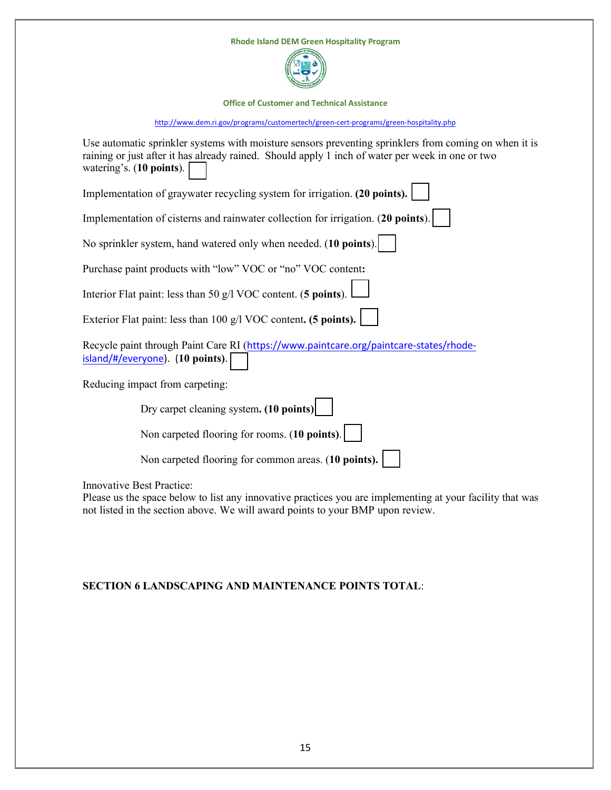| <b>Rhode Island DEM Green Hospitality Program</b>                                                                                                                                                                                     |
|---------------------------------------------------------------------------------------------------------------------------------------------------------------------------------------------------------------------------------------|
| <b>Office of Customer and Technical Assistance</b>                                                                                                                                                                                    |
| http://www.dem.ri.gov/programs/customertech/green-cert-programs/green-hospitality.php                                                                                                                                                 |
| Use automatic sprinkler systems with moisture sensors preventing sprinklers from coming on when it is<br>raining or just after it has already rained. Should apply 1 inch of water per week in one or two<br>watering's. (10 points). |
| Implementation of graywater recycling system for irrigation. (20 points).                                                                                                                                                             |
| Implementation of cisterns and rainwater collection for irrigation. (20 points).                                                                                                                                                      |
| No sprinkler system, hand watered only when needed. (10 points).                                                                                                                                                                      |
| Purchase paint products with "low" VOC or "no" VOC content:                                                                                                                                                                           |
| Interior Flat paint: less than 50 g/l VOC content. (5 points).                                                                                                                                                                        |
| Exterior Flat paint: less than 100 g/l VOC content. (5 points).                                                                                                                                                                       |
| Recycle paint through Paint Care RI (https://www.paintcare.org/paintcare-states/rhode-<br>island/#/everyone). (10 points).                                                                                                            |
| Reducing impact from carpeting:                                                                                                                                                                                                       |
| Dry carpet cleaning system. (10 points)                                                                                                                                                                                               |
| Non carpeted flooring for rooms. (10 points).                                                                                                                                                                                         |
| Non carpeted flooring for common areas. (10 points).                                                                                                                                                                                  |
| <b>Innovative Best Practice:</b>                                                                                                                                                                                                      |

Please us the space below to list any innovative practices you are implementing at your facility that was not listed in the section above. We will award points to your BMP upon review.

# **SECTION 6 LANDSCAPING AND MAINTENANCE POINTS TOTAL**: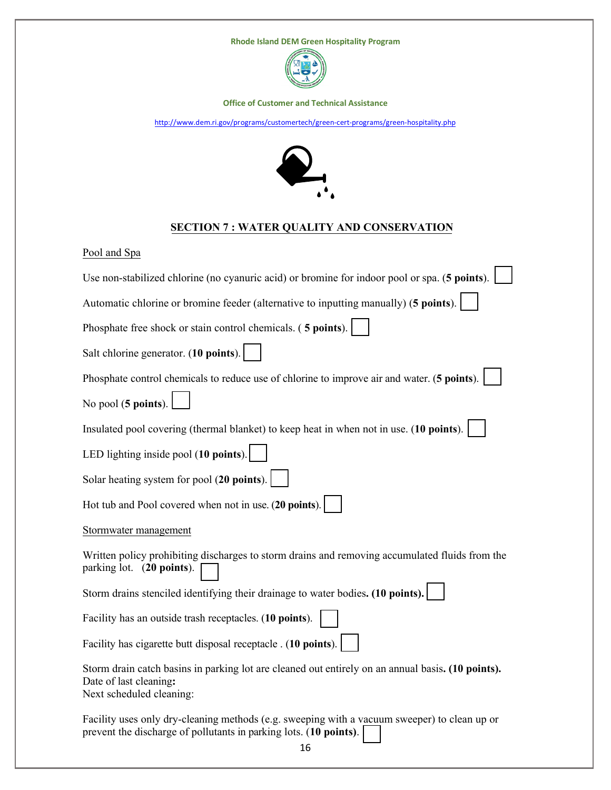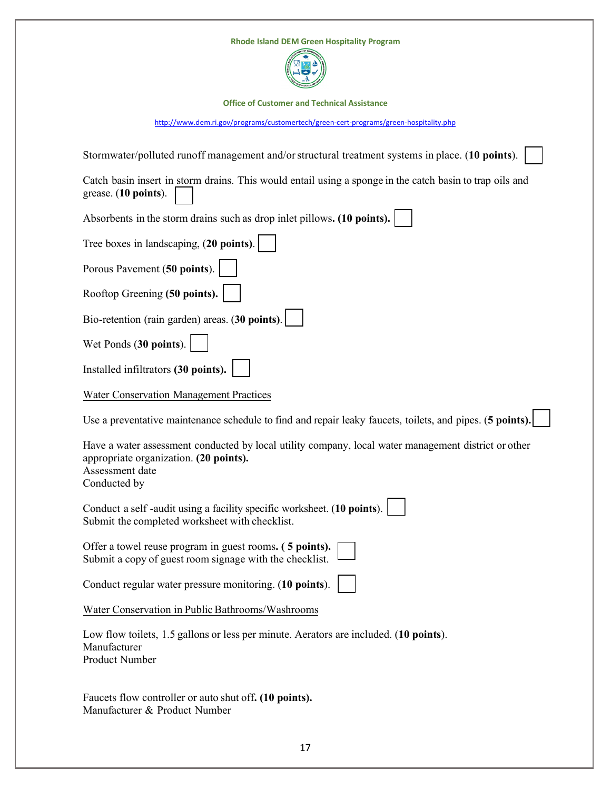| <b>Rhode Island DEM Green Hospitality Program</b>                                                                                                                                 |
|-----------------------------------------------------------------------------------------------------------------------------------------------------------------------------------|
| <b>Office of Customer and Technical Assistance</b>                                                                                                                                |
| http://www.dem.ri.gov/programs/customertech/green-cert-programs/green-hospitality.php                                                                                             |
| Stormwater/polluted runoff management and/or structural treatment systems in place. (10 points).                                                                                  |
| Catch basin insert in storm drains. This would entail using a sponge in the catch basin to trap oils and<br>grease. (10 points).                                                  |
| Absorbents in the storm drains such as drop inlet pillows. (10 points).                                                                                                           |
| Tree boxes in landscaping, (20 points).                                                                                                                                           |
| Porous Pavement (50 points).                                                                                                                                                      |
| Rooftop Greening (50 points).                                                                                                                                                     |
| Bio-retention (rain garden) areas. (30 points).                                                                                                                                   |
| Wet Ponds (30 points).                                                                                                                                                            |
| Installed infiltrators (30 points).                                                                                                                                               |
| <b>Water Conservation Management Practices</b>                                                                                                                                    |
| Use a preventative maintenance schedule to find and repair leaky faucets, toilets, and pipes. (5 points).                                                                         |
| Have a water assessment conducted by local utility company, local water management district or other<br>appropriate organization. (20 points).<br>Assessment date<br>Conducted by |
| Conduct a self-audit using a facility specific worksheet. (10 points).<br>Submit the completed worksheet with checklist.                                                          |
| Offer a towel reuse program in guest rooms. (5 points).<br>Submit a copy of guest room signage with the checklist.                                                                |
| Conduct regular water pressure monitoring. (10 points).                                                                                                                           |
| Water Conservation in Public Bathrooms/Washrooms                                                                                                                                  |
| Low flow toilets, 1.5 gallons or less per minute. Aerators are included. (10 points).<br>Manufacturer<br>Product Number                                                           |
| Faucets flow controller or auto shut off. (10 points).<br>Manufacturer & Product Number                                                                                           |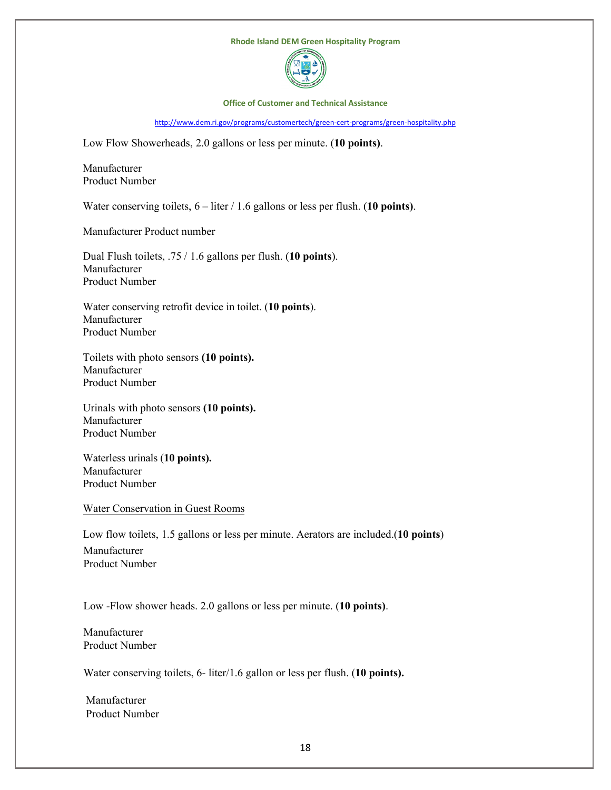

#### **Office of Customer and Technical Assistance**

<http://www.dem.ri.gov/programs/customertech/green-cert-programs/green-hospitality.php>

Low Flow Showerheads, 2.0 gallons or less per minute. (**10 points)**.

Manufacturer Product Number

Water conserving toilets, 6 – liter / 1.6 gallons or less per flush. (**10 points)**.

Manufacturer Product number

Dual Flush toilets, .75 / 1.6 gallons per flush. (**10 points**). Manufacturer Product Number

Water conserving retrofit device in toilet. (**10 points**). Manufacturer Product Number

Toilets with photo sensors **(10 points).** Manufacturer Product Number

Urinals with photo sensors **(10 points).** Manufacturer Product Number

Waterless urinals (**10 points).** Manufacturer Product Number

Water Conservation in Guest Rooms

Low flow toilets, 1.5 gallons or less per minute. Aerators are included.(**10 points**)

Manufacturer Product Number

Low -Flow shower heads. 2.0 gallons or less per minute. (**10 points)**.

Manufacturer Product Number

Water conserving toilets, 6- liter/1.6 gallon or less per flush. (**10 points).**

Manufacturer Product Number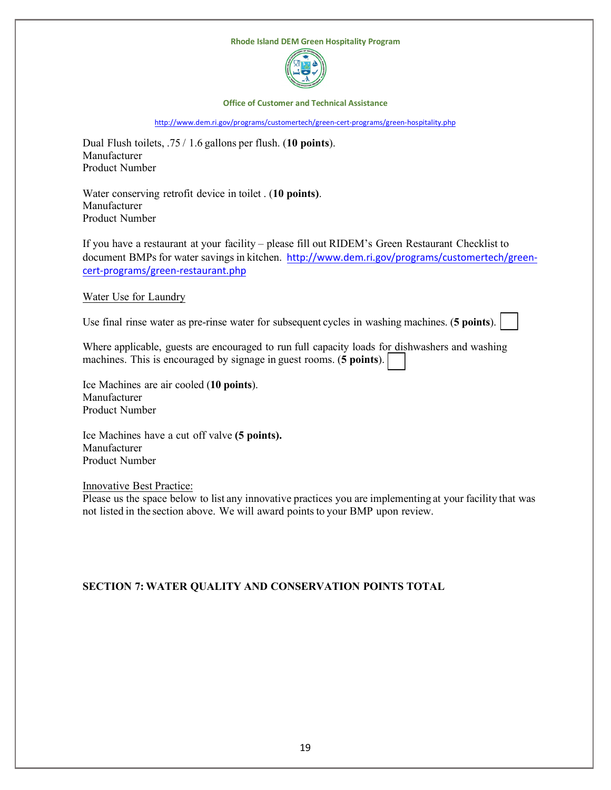

**Office of Customer and Technical Assistance**

<http://www.dem.ri.gov/programs/customertech/green-cert-programs/green-hospitality.php>

Dual Flush toilets, .75 / 1.6 gallons per flush. (**10 points**). Manufacturer Product Number

Water conserving retrofit device in toilet . (**10 points)**. Manufacturer Product Number

If you have a restaurant at your facility – please fill out RIDEM's Green Restaurant Checklist to document BMPs for water savings in kitchen. [http://www.dem.ri.gov/programs/customertech/green](http://www.dem.ri.gov/programs/customertech/green-cert-programs/green-restaurant.php)[cert-programs/green-restaurant.php](http://www.dem.ri.gov/programs/customertech/green-cert-programs/green-restaurant.php)

Water Use for Laundry

Use final rinse water as pre-rinse water for subsequent cycles in washing machines. (**5 points**).

Where applicable, guests are encouraged to run full capacity loads for dishwashers and washing machines. This is encouraged by signage in guest rooms. (**5 points**).

Ice Machines are air cooled (**10 points**). Manufacturer Product Number

Ice Machines have a cut off valve **(5 points).** Manufacturer Product Number

Innovative Best Practice:

Please us the space below to list any innovative practices you are implementing at your facility that was not listed in the section above. We will award points to your BMP upon review.

# **SECTION 7: WATER QUALITY AND CONSERVATION POINTS TOTAL**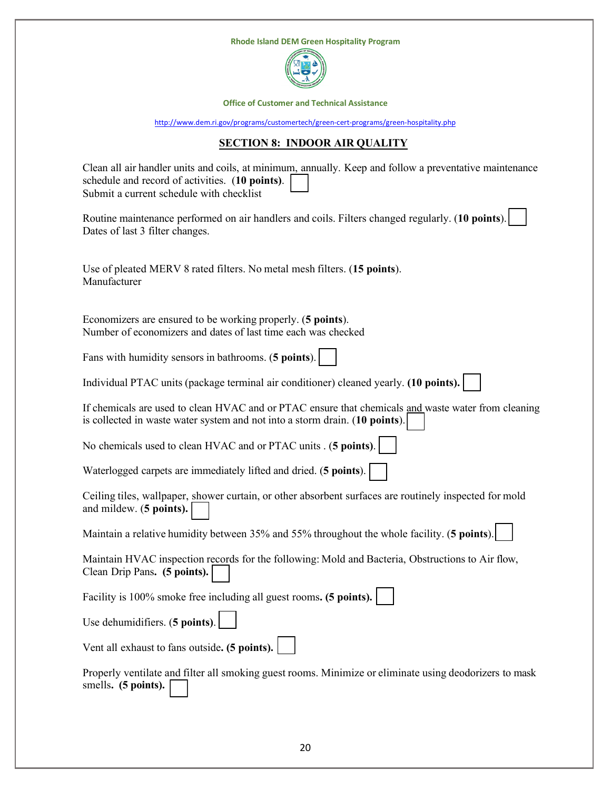

**Office of Customer and Technical Assistance**

<http://www.dem.ri.gov/programs/customertech/green-cert-programs/green-hospitality.php>

# **SECTION 8: INDOOR AIR QUALITY**

| Clean all air handler units and coils, at minimum, annually. Keep and follow a preventative maintenance<br>schedule and record of activities. (10 points).<br>Submit a current schedule with checklist |
|--------------------------------------------------------------------------------------------------------------------------------------------------------------------------------------------------------|
| Routine maintenance performed on air handlers and coils. Filters changed regularly. (10 points).<br>Dates of last 3 filter changes.                                                                    |
| Use of pleated MERV 8 rated filters. No metal mesh filters. (15 points).<br>Manufacturer                                                                                                               |
| Economizers are ensured to be working properly. (5 points).<br>Number of economizers and dates of last time each was checked                                                                           |
| Fans with humidity sensors in bathrooms. (5 points).                                                                                                                                                   |
| Individual PTAC units (package terminal air conditioner) cleaned yearly. (10 points).                                                                                                                  |
| If chemicals are used to clean HVAC and or PTAC ensure that chemicals and waste water from cleaning<br>is collected in waste water system and not into a storm drain. (10 points).                     |
| No chemicals used to clean HVAC and or PTAC units . (5 points).                                                                                                                                        |
| Waterlogged carpets are immediately lifted and dried. (5 points).                                                                                                                                      |
| Ceiling tiles, wallpaper, shower curtain, or other absorbent surfaces are routinely inspected for mold<br>and mildew. (5 points).                                                                      |
| Maintain a relative humidity between 35% and 55% throughout the whole facility. (5 points).                                                                                                            |
| Maintain HVAC inspection records for the following: Mold and Bacteria, Obstructions to Air flow,<br>Clean Drip Pans. (5 points).                                                                       |
| Facility is 100% smoke free including all guest rooms. (5 points).                                                                                                                                     |
| Use dehumidifiers. (5 points).                                                                                                                                                                         |
| Vent all exhaust to fans outside. (5 points).                                                                                                                                                          |
| Properly ventilate and filter all smoking guest rooms. Minimize or eliminate using deodorizers to mask<br>smells. (5 points).                                                                          |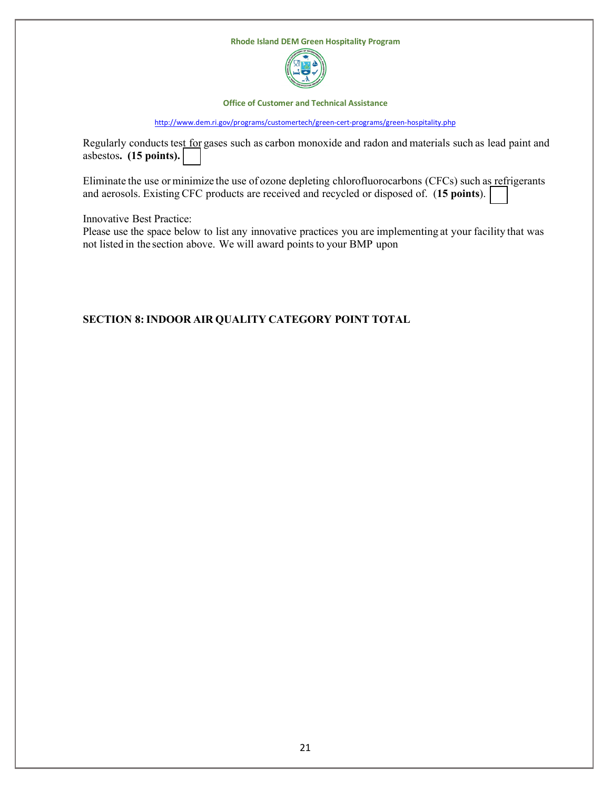

**Office of Customer and Technical Assistance**

<http://www.dem.ri.gov/programs/customertech/green-cert-programs/green-hospitality.php>

Regularly conducts test for gases such as carbon monoxide and radon and materials such as lead paint and asbestos**. (15 points).**

Eliminate the use or minimize the use of ozone depleting chlorofluorocarbons (CFCs) such as refrigerants and aerosols. Existing CFC products are received and recycled or disposed of. (**15 points**).

Innovative Best Practice:

Please use the space below to list any innovative practices you are implementing at your facility that was not listed in the section above. We will award points to your BMP upon

# **SECTION 8:INDOOR AIR QUALITY CATEGORY POINT TOTAL**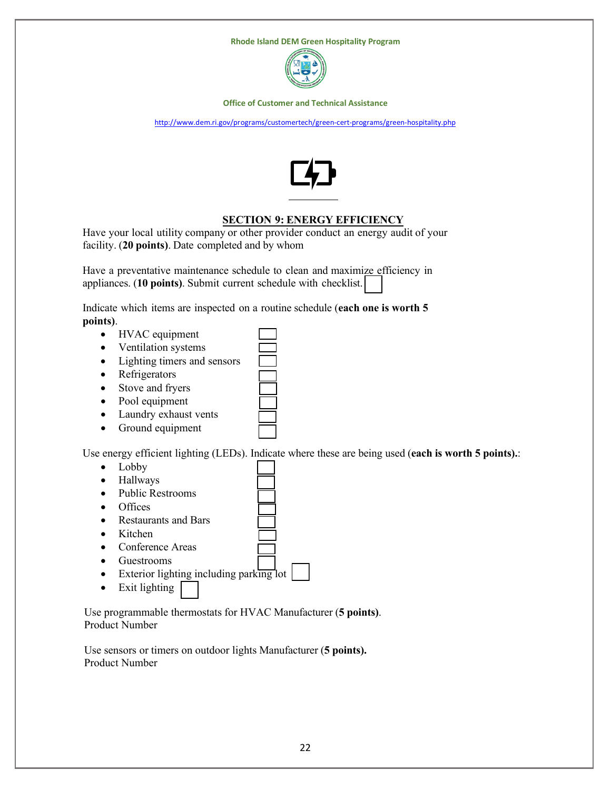

**Office of Customer and Technical Assistance**

<http://www.dem.ri.gov/programs/customertech/green-cert-programs/green-hospitality.php>



# **SECTION 9: ENERGY EFFICIENCY**

Have your local utility company or other provider conduct an energy audit of your facility. (**20 points)**. Date completed and by whom

Have a preventative maintenance schedule to clean and maximize efficiency in appliances. (**10 points)**. Submit current schedule with checklist.

Indicate which items are inspected on a routine schedule (**each one is worth 5 points)**.

- HVAC equipment
- Ventilation systems
- Lighting timers and sensors
- Refrigerators
- Stove and fryers
- Pool equipment
- Laundry exhaust vents
- Ground equipment

Use energy efficient lighting (LEDs). Indicate where these are being used (**each is worth 5 points).**:

- Lobby
- Hallways
- Public Restrooms
- **Offices**
- Restaurants and Bars
- Kitchen
- Conference Areas
- Guestrooms
- Exterior lighting including parking lot
- Exit lighting

Use programmable thermostats for HVAC Manufacturer (**5 points)**. Product Number

Use sensors or timers on outdoor lights Manufacturer (**5 points).**  Product Number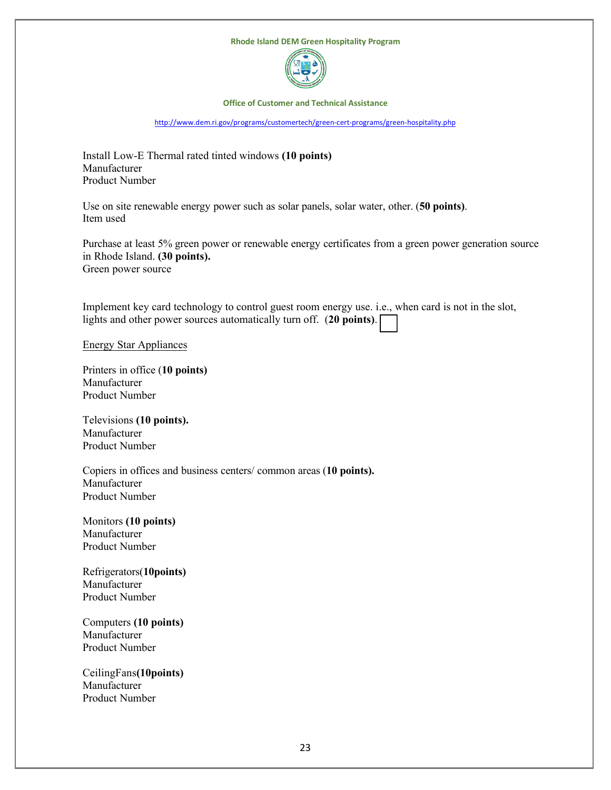

#### **Office of Customer and Technical Assistance**

<http://www.dem.ri.gov/programs/customertech/green-cert-programs/green-hospitality.php>

Install Low-E Thermal rated tinted windows **(10 points)** Manufacturer Product Number

Use on site renewable energy power such as solar panels, solar water, other. (**50 points)**. Item used

Purchase at least 5% green power or renewable energy certificates from a green power generation source in Rhode Island. **(30 points).** Green power source

Implement key card technology to control guest room energy use. i.e., when card is not in the slot, lights and other power sources automatically turn off. (**20 points)**.

Energy Star Appliances

Printers in office (**10 points)**  Manufacturer Product Number

Televisions **(10 points).** Manufacturer Product Number

Copiers in offices and business centers/ common areas (**10 points).** Manufacturer Product Number

Monitors **(10 points)** Manufacturer Product Number

Refrigerators(**10points)**  Manufacturer Product Number

Computers **(10 points)** Manufacturer Product Number

CeilingFans**(10points)** Manufacturer Product Number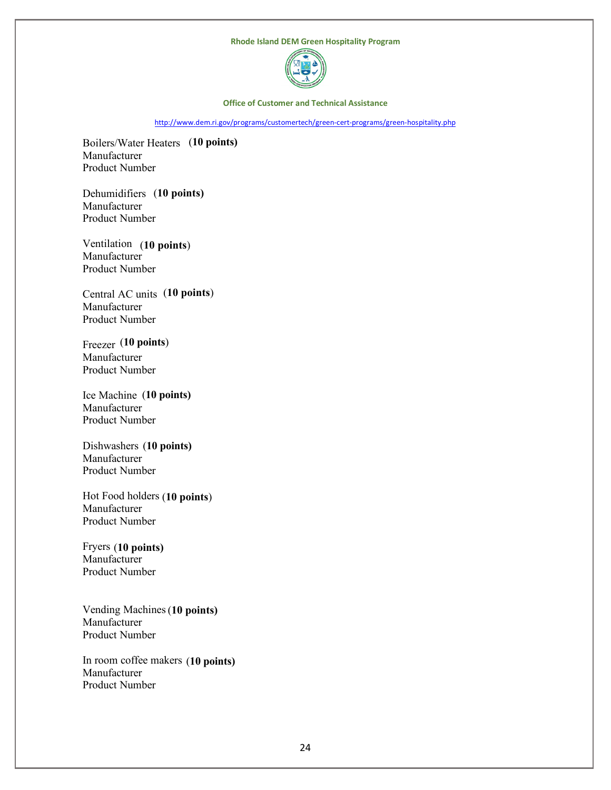

#### **Office of Customer and Technical Assistance**

<http://www.dem.ri.gov/programs/customertech/green-cert-programs/green-hospitality.php>

Boilers/Water Heaters (**10 points)** Manufacturer Product Number

Dehumidifiers (**10 points)** Manufacturer Product Number

Ventilation (**10 points**) **Manufacturer** Product Number

Central AC units (**10 points**) Manufacturer Product Number

Freezer (**10 points**) Manufacturer Product Number

Ice Machine (**10 points)** Manufacturer Product Number

Dishwashers (**10 points)** Manufacturer Product Number

Hot Food holders (**10 points**) Manufacturer Product Number

Fryers (**10 points)** Manufacturer Product Number

Vending Machines (**10 points)** Manufacturer Product Number

In room coffee makers (**10 points)**Manufacturer Product Number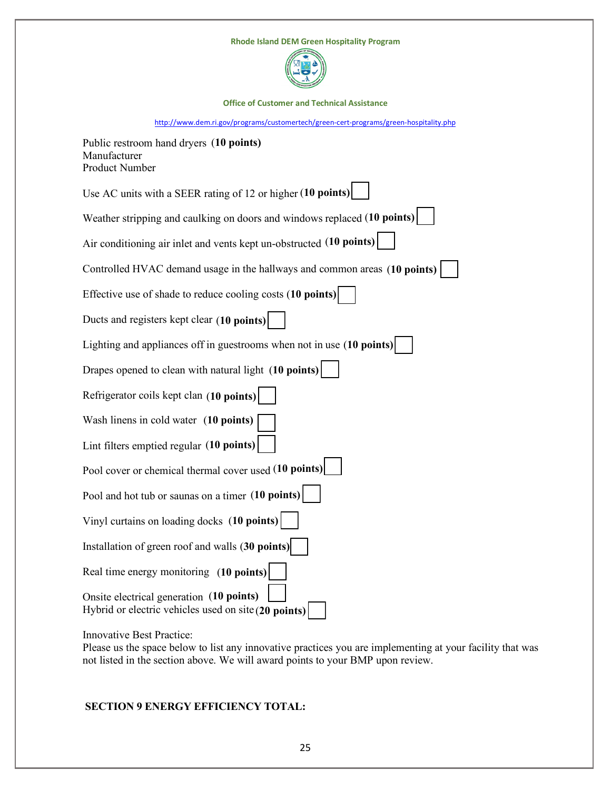



**Office of Customer and Technical Assistance**

<http://www.dem.ri.gov/programs/customertech/green-cert-programs/green-hospitality.php>

| Public restroom hand dryers (10 points)<br>Manufacturer<br>Product Number                          |
|----------------------------------------------------------------------------------------------------|
| Use AC units with a SEER rating of 12 or higher (10 points)                                        |
| Weather stripping and caulking on doors and windows replaced (10 points)                           |
| Air conditioning air inlet and vents kept un-obstructed (10 points)                                |
| Controlled HVAC demand usage in the hallways and common areas (10 points)                          |
| Effective use of shade to reduce cooling costs (10 points)                                         |
| Ducts and registers kept clear (10 points)                                                         |
| Lighting and appliances off in guestrooms when not in use (10 points)                              |
| Drapes opened to clean with natural light (10 points)                                              |
| Refrigerator coils kept clan (10 points)                                                           |
| Wash linens in cold water (10 points)                                                              |
| Lint filters emptied regular (10 points)                                                           |
| Pool cover or chemical thermal cover used (10 points)                                              |
| Pool and hot tub or saunas on a timer (10 points)                                                  |
| Vinyl curtains on loading docks (10 points)                                                        |
| Installation of green roof and walls (30 points)                                                   |
| Real time energy monitoring (10 points)                                                            |
| Onsite electrical generation (10 points)<br>Hybrid or electric vehicles used on site $(20$ points) |

Innovative Best Practice:

Please us the space below to list any innovative practices you are implementing at your facility that was not listed in the section above. We will award points to your BMP upon review.

# **SECTION 9 ENERGY EFFICIENCY TOTAL:**